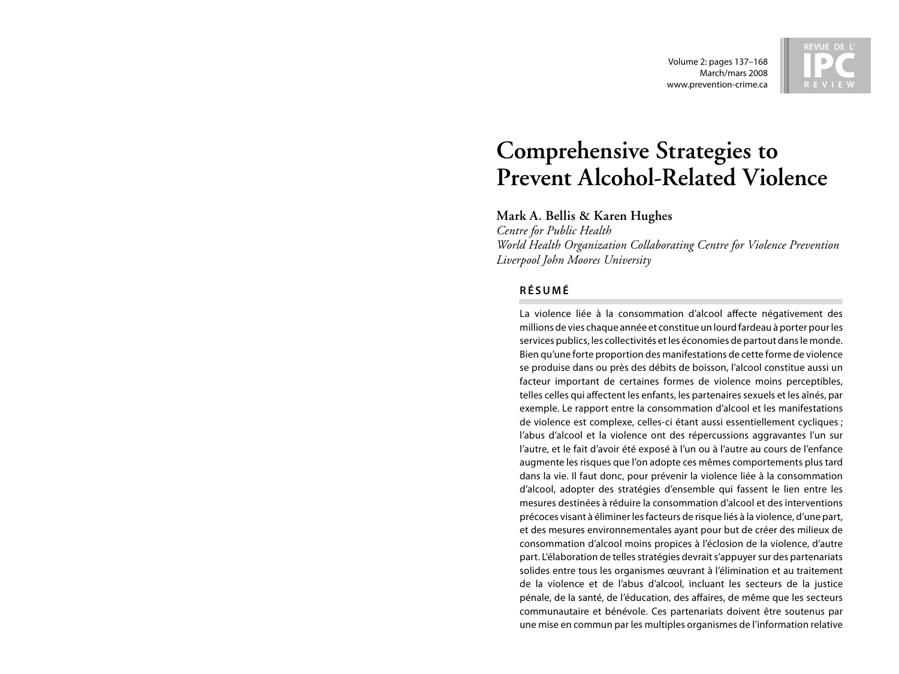Volume 2: pages 137–168 March/mars 2008 www.prevention-crime.ca



# **Comprehensive Strategies to Prevent Alcohol-Related Violence**

**Mark A. Bellis & Karen Hughes**

*Centre for Public Health World Health Organization Collaborating Centre for Violence Prevention Liverpool John Moores University*

# **R é s u m é**

La violence liée à la consommation d'alcool affecte négativement des millions de vies chaque année et constitue un lourd fardeau à porter pour les services publics, les collectivités et les économies de partout dans le monde. Bien qu'une forte proportion des manifestations de cette forme de violence se produise dans ou près des débits de boisson, l'alcool constitue aussi un facteur important de certaines formes de violence moins perceptibles, telles celles qui affectent les enfants, les partenaires sexuels et les aînés, par exemple. Le rapport entre la consommation d'alcool et les manifestations de violence est complexe, celles-ci étant aussi essentiellement cycliques ; l'abus d'alcool et la violence ont des répercussions aggravantes l'un sur l'autre, et le fait d'avoir été exposé à l'un ou à l'autre au cours de l'enfance augmente les risques que l'on adopte ces mêmes comportements plus tard dans la vie. Il faut donc, pour prévenir la violence liée à la consommation d'alcool, adopter des stratégies d'ensemble qui fassent le lien entre les mesures destinées à réduire la consommation d'alcool et des interventions précoces visant à éliminer les facteurs de risque liés à la violence, d'une part, et des mesures environnementales ayant pour but de créer des milieux de consommation d'alcool moins propices à l'éclosion de la violence, d'autre part. L'élaboration de telles stratégies devrait s'appuyer sur des partenariats solides entre tous les organismes œuvrant à l'élimination et au traitement de la violence et de l'abus d'alcool, incluant les secteurs de la justice pénale, de la santé, de l'éducation, des affaires, de même que les secteurs communautaire et bénévole. Ces partenariats doivent être soutenus par une mise en commun par les multiples organismes de l'information relative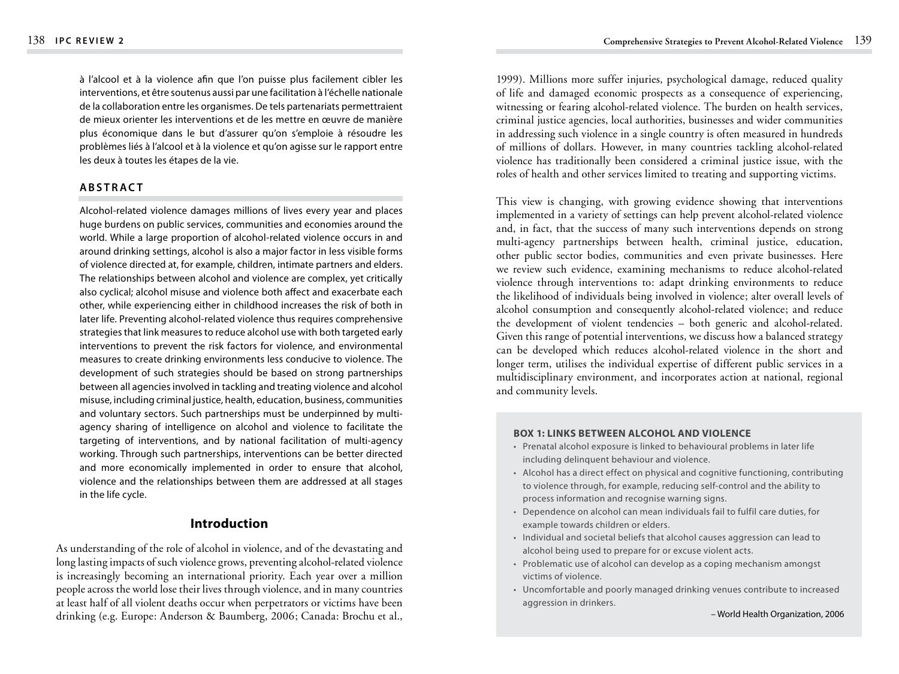à l'alcool et à la violence afin que l'on puisse plus facilement cibler les interventions, et être soutenus aussi par une facilitation à l'échelle nationale de la collaboration entre les organismes. De tels partenariats permettraient de mieux orienter les interventions et de les mettre en œuvre de manière plus économique dans le but d'assurer qu'on s'emploie à résoudre les problèmes liés à l'alcool et à la violence et qu'on agisse sur le rapport entre les deux à toutes les étapes de la vie.

## **A b s t rac t**

Alcohol-related violence damages millions of lives every year and places huge burdens on public services, communities and economies around the world. While a large proportion of alcohol-related violence occurs in and around drinking settings, alcohol is also a major factor in less visible forms of violence directed at, for example, children, intimate partners and elders. The relationships between alcohol and violence are complex, yet critically also cyclical; alcohol misuse and violence both affect and exacerbate each other, while experiencing either in childhood increases the risk of both in later life. Preventing alcohol-related violence thus requires comprehensive strategies that link measures to reduce alcohol use with both targeted early interventions to prevent the risk factors for violence, and environmental measures to create drinking environments less conducive to violence. The development of such strategies should be based on strong partnerships between all agencies involved in tackling and treating violence and alcohol misuse, including criminal justice, health, education, business, communities and voluntary sectors. Such partnerships must be underpinned by multiagency sharing of intelligence on alcohol and violence to facilitate the targeting of interventions, and by national facilitation of multi-agency working. Through such partnerships, interventions can be better directed and more economically implemented in order to ensure that alcohol, violence and the relationships between them are addressed at all stages in the life cycle.

# **Introduction**

As understanding of the role of alcohol in violence, and of the devastating and long lasting impacts of such violence grows, preventing alcohol-related violence is increasingly becoming an international priority. Each year over a million people across the world lose their lives through violence, and in many countries at least half of all violent deaths occur when perpetrators or victims have been drinking (e.g. Europe: Anderson & Baumberg, 2006; Canada: Brochu et al.,

1999). Millions more suffer injuries, psychological damage, reduced quality of life and damaged economic prospects as a consequence of experiencing, witnessing or fearing alcohol-related violence. The burden on health services, criminal justice agencies, local authorities, businesses and wider communities in addressing such violence in a single country is often measured in hundreds of millions of dollars. However, in many countries tackling alcohol-related violence has traditionally been considered a criminal justice issue, with the roles of health and other services limited to treating and supporting victims.

This view is changing, with growing evidence showing that interventions implemented in a variety of settings can help prevent alcohol-related violence and, in fact, that the success of many such interventions depends on strong multi-agency partnerships between health, criminal justice, education, other public sector bodies, communities and even private businesses. Here we review such evidence, examining mechanisms to reduce alcohol-related violence through interventions to: adapt drinking environments to reduce the likelihood of individuals being involved in violence; alter overall levels of alcohol consumption and consequently alcohol-related violence; and reduce the development of violent tendencies – both generic and alcohol-related. Given this range of potential interventions, we discuss how a balanced strategy can be developed which reduces alcohol-related violence in the short and longer term, utilises the individual expertise of different public services in a multidisciplinary environment, and incorporates action at national, regional and community levels.

#### **Box 1: Links between alcohol and violence**

- Prenatal alcohol exposure is linked to behavioural problems in later life including delinquent behaviour and violence.
- Alcohol has a direct effect on physical and cognitive functioning, contributing to violence through, for example, reducing self-control and the ability to process information and recognise warning signs.
- Dependence on alcohol can mean individuals fail to fulfil care duties, for example towards children or elders.
- Individual and societal beliefs that alcohol causes aggression can lead to alcohol being used to prepare for or excuse violent acts.
- Problematic use of alcohol can develop as a coping mechanism amongst victims of violence.
- Uncomfortable and poorly managed drinking venues contribute to increased aggression in drinkers.

– World Health Organization, 2006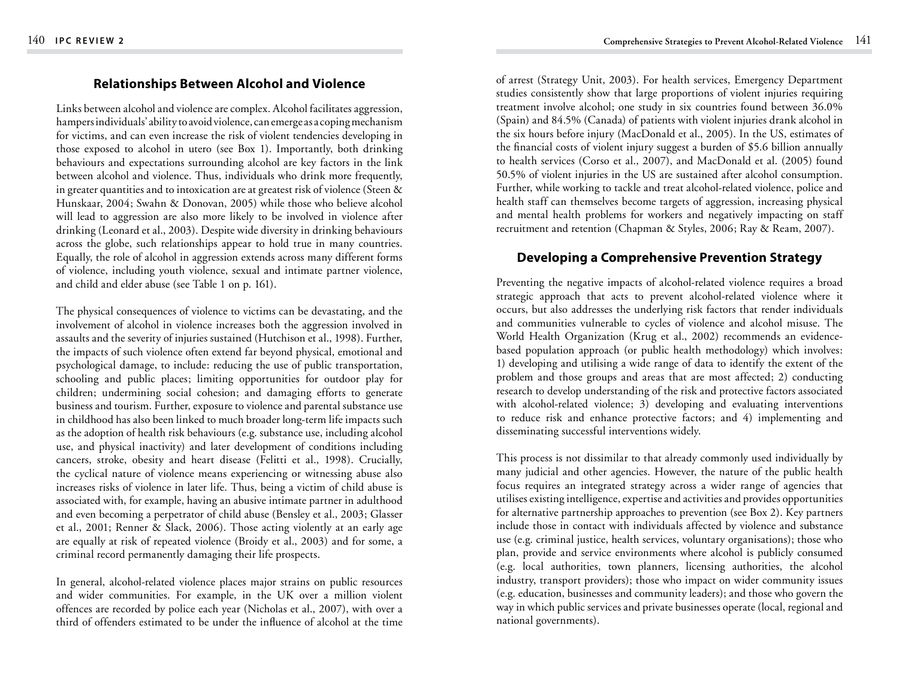# **Relationships Between Alcohol and Violence**

Links between alcohol and violence are complex. Alcohol facilitates aggression, hampers individuals' ability to avoid violence, can emerge as a coping mechanism for victims, and can even increase the risk of violent tendencies developing in those exposed to alcohol in utero (see Box 1). Importantly, both drinking behaviours and expectations surrounding alcohol are key factors in the link between alcohol and violence. Thus, individuals who drink more frequently, in greater quantities and to intoxication are at greatest risk of violence (Steen & Hunskaar, 2004; Swahn & Donovan, 2005) while those who believe alcohol will lead to aggression are also more likely to be involved in violence after drinking (Leonard et al., 2003). Despite wide diversity in drinking behaviours across the globe, such relationships appear to hold true in many countries. Equally, the role of alcohol in aggression extends across many different forms of violence, including youth violence, sexual and intimate partner violence, and child and elder abuse (see Table 1 on p. 161).

The physical consequences of violence to victims can be devastating, and the involvement of alcohol in violence increases both the aggression involved in assaults and the severity of injuries sustained (Hutchison et al., 1998). Further, the impacts of such violence often extend far beyond physical, emotional and psychological damage, to include: reducing the use of public transportation, schooling and public places; limiting opportunities for outdoor play for children; undermining social cohesion; and damaging efforts to generate business and tourism. Further, exposure to violence and parental substance use in childhood has also been linked to much broader long-term life impacts such as the adoption of health risk behaviours (e.g. substance use, including alcohol use, and physical inactivity) and later development of conditions including cancers, stroke, obesity and heart disease (Felitti et al., 1998). Crucially, the cyclical nature of violence means experiencing or witnessing abuse also increases risks of violence in later life. Thus, being a victim of child abuse is associated with, for example, having an abusive intimate partner in adulthood and even becoming a perpetrator of child abuse (Bensley et al., 2003; Glasser et al., 2001; Renner & Slack, 2006). Those acting violently at an early age are equally at risk of repeated violence (Broidy et al., 2003) and for some, a criminal record permanently damaging their life prospects.

In general, alcohol-related violence places major strains on public resources and wider communities. For example, in the UK over a million violent offences are recorded by police each year (Nicholas et al., 2007), with over a third of offenders estimated to be under the influence of alcohol at the time

of arrest (Strategy Unit, 2003). For health services, Emergency Department studies consistently show that large proportions of violent injuries requiring treatment involve alcohol; one study in six countries found between 36.0% (Spain) and 84.5% (Canada) of patients with violent injuries drank alcohol in the six hours before injury (MacDonald et al., 2005). In the US, estimates of the financial costs of violent injury suggest a burden of \$5.6 billion annually to health services (Corso et al., 2007), and MacDonald et al. (2005) found 50.5% of violent injuries in the US are sustained after alcohol consumption. Further, while working to tackle and treat alcohol-related violence, police and health staff can themselves become targets of aggression, increasing physical and mental health problems for workers and negatively impacting on staff recruitment and retention (Chapman & Styles, 2006; Ray & Ream, 2007).

# **Developing a Comprehensive Prevention Strategy**

Preventing the negative impacts of alcohol-related violence requires a broad strategic approach that acts to prevent alcohol-related violence where it occurs, but also addresses the underlying risk factors that render individuals and communities vulnerable to cycles of violence and alcohol misuse. The World Health Organization (Krug et al., 2002) recommends an evidencebased population approach (or public health methodology) which involves: 1) developing and utilising a wide range of data to identify the extent of the problem and those groups and areas that are most affected; 2) conducting research to develop understanding of the risk and protective factors associated with alcohol-related violence; 3) developing and evaluating interventions to reduce risk and enhance protective factors; and 4) implementing and disseminating successful interventions widely.

This process is not dissimilar to that already commonly used individually by many judicial and other agencies. However, the nature of the public health focus requires an integrated strategy across a wider range of agencies that utilises existing intelligence, expertise and activities and provides opportunities for alternative partnership approaches to prevention (see Box 2). Key partners include those in contact with individuals affected by violence and substance use (e.g. criminal justice, health services, voluntary organisations); those who plan, provide and service environments where alcohol is publicly consumed (e.g. local authorities, town planners, licensing authorities, the alcohol industry, transport providers); those who impact on wider community issues (e.g. education, businesses and community leaders); and those who govern the way in which public services and private businesses operate (local, regional and national governments).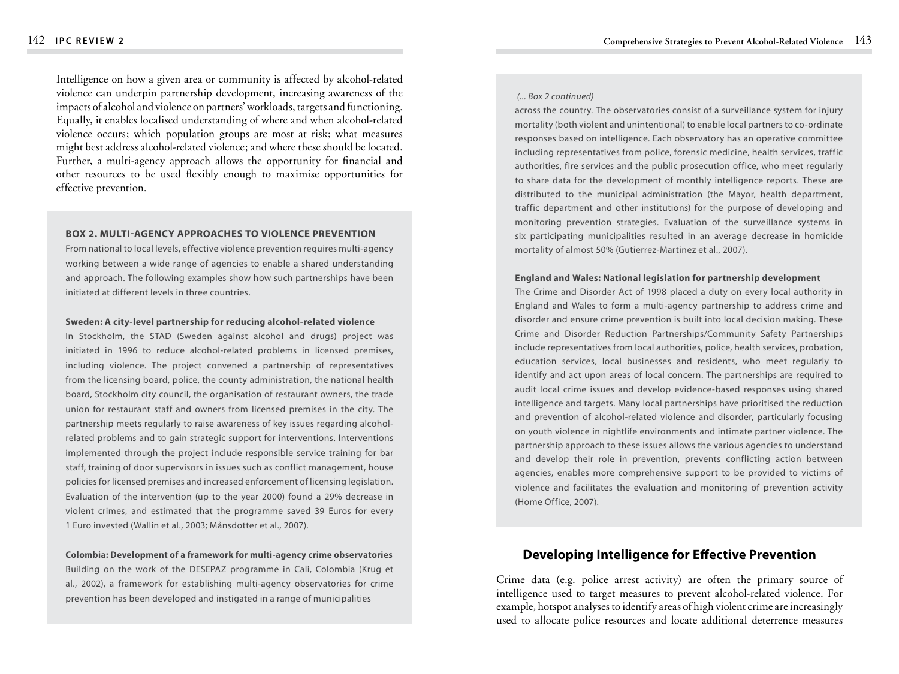Intelligence on how a given area or community is affected by alcohol-related violence can underpin partnership development, increasing awareness of the impacts of alcohol and violence on partners' workloads, targets and functioning. Equally, it enables localised understanding of where and when alcohol-related violence occurs; which population groups are most at risk; what measures might best address alcohol-related violence; and where these should be located. Further, a multi-agency approach allows the opportunity for financial and other resources to be used flexibly enough to maximise opportunities for effective prevention.

#### **Box 2. Multi-agency approaches to violence prevention**

From national to local levels, effective violence prevention requires multi-agency working between a wide range of agencies to enable a shared understanding and approach. The following examples show how such partnerships have been initiated at different levels in three countries.

#### **Sweden: A city-level partnership for reducing alcohol-related violence**

In Stockholm, the STAD (Sweden against alcohol and drugs) project was initiated in 1996 to reduce alcohol-related problems in licensed premises, including violence. The project convened a partnership of representatives from the licensing board, police, the county administration, the national health board, Stockholm city council, the organisation of restaurant owners, the trade union for restaurant staff and owners from licensed premises in the city. The partnership meets regularly to raise awareness of key issues regarding alcoholrelated problems and to gain strategic support for interventions. Interventions implemented through the project include responsible service training for bar staff, training of door supervisors in issues such as conflict management, house policies for licensed premises and increased enforcement of licensing legislation. Evaluation of the intervention (up to the year 2000) found a 29% decrease in violent crimes, and estimated that the programme saved 39 Euros for every 1 Euro invested (Wallin et al., 2003; Månsdotter et al., 2007).

## **Colombia: Development of a framework for multi-agency crime observatories** Building on the work of the DESEPAZ programme in Cali, Colombia (Krug et al., 2002), a framework for establishing multi-agency observatories for crime prevention has been developed and instigated in a range of municipalities

#### *(... Box 2 continued)*

across the country. The observatories consist of a surveillance system for injury mortality (both violent and unintentional) to enable local partners to co-ordinate responses based on intelligence. Each observatory has an operative committee including representatives from police, forensic medicine, health services, traffic authorities, fire services and the public prosecution office, who meet regularly to share data for the development of monthly intelligence reports. These are distributed to the municipal administration (the Mayor, health department, traffic department and other institutions) for the purpose of developing and monitoring prevention strategies. Evaluation of the surveillance systems in six participating municipalities resulted in an average decrease in homicide mortality of almost 50% (Gutierrez-Martinez et al., 2007).

#### **England and Wales: National legislation for partnership development**

The Crime and Disorder Act of 1998 placed a duty on every local authority in England and Wales to form a multi-agency partnership to address crime and disorder and ensure crime prevention is built into local decision making. These Crime and Disorder Reduction Partnerships/Community Safety Partnerships include representatives from local authorities, police, health services, probation, education services, local businesses and residents, who meet regularly to identify and act upon areas of local concern. The partnerships are required to audit local crime issues and develop evidence-based responses using shared intelligence and targets. Many local partnerships have prioritised the reduction and prevention of alcohol-related violence and disorder, particularly focusing on youth violence in nightlife environments and intimate partner violence. The partnership approach to these issues allows the various agencies to understand and develop their role in prevention, prevents conflicting action between agencies, enables more comprehensive support to be provided to victims of violence and facilitates the evaluation and monitoring of prevention activity (Home Office, 2007).

## **Developing Intelligence for Effective Prevention**

Crime data (e.g. police arrest activity) are often the primary source of intelligence used to target measures to prevent alcohol-related violence. For example, hotspot analyses to identify areas of high violent crime are increasingly used to allocate police resources and locate additional deterrence measures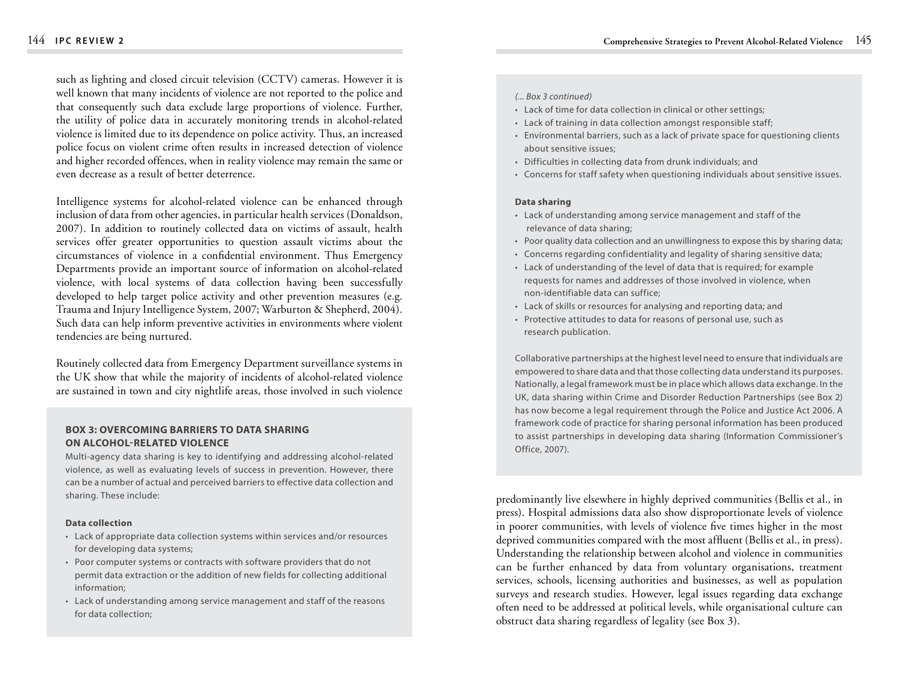such as lighting and closed circuit television (CCTV) cameras. However it is well known that many incidents of violence are not reported to the police and that consequently such data exclude large proportions of violence. Further, the utility of police data in accurately monitoring trends in alcohol-related violence is limited due to its dependence on police activity. Thus, an increased police focus on violent crime often results in increased detection of violence and higher recorded offences, when in reality violence may remain the same or even decrease as a result of better deterrence.

Intelligence systems for alcohol-related violence can be enhanced through inclusion of data from other agencies, in particular health services (Donaldson, 2007). In addition to routinely collected data on victims of assault, health services offer greater opportunities to question assault victims about the circumstances of violence in a confidential environment. Thus Emergency Departments provide an important source of information on alcohol-related violence, with local systems of data collection having been successfully developed to help target police activity and other prevention measures (e.g. Trauma and Injury Intelligence System, 2007; Warburton & Shepherd, 2004). Such data can help inform preventive activities in environments where violent tendencies are being nurtured.

Routinely collected data from Emergency Department surveillance systems in the UK show that while the majority of incidents of alcohol-related violence are sustained in town and city nightlife areas, those involved in such violence

## **Box 3: Overcoming barriers to data sharing on alcohol-related violence**

Multi-agency data sharing is key to identifying and addressing alcohol-related violence, as well as evaluating levels of success in prevention. However, there can be a number of actual and perceived barriers to effective data collection and sharing. These include:

#### **Data collection**

- Lack of appropriate data collection systems within services and/or resources for developing data systems;
- Poor computer systems or contracts with software providers that do not permit data extraction or the addition of new fields for collecting additional information;
- Lack of understanding among service management and staff of the reasons for data collection;

#### *(... Box 3 continued)*

- Lack of time for data collection in clinical or other settings;
- Lack of training in data collection amongst responsible staff;
- Environmental barriers, such as a lack of private space for questioning clients about sensitive issues;
- Difficulties in collecting data from drunk individuals; and
- Concerns for staff safety when questioning individuals about sensitive issues.

#### **Data sharing**

- Lack of understanding among service management and staff of the relevance of data sharing;
- Poor quality data collection and an unwillingness to expose this by sharing data;
- Concerns regarding confidentiality and legality of sharing sensitive data;
- Lack of understanding of the level of data that is required; for example requests for names and addresses of those involved in violence, when non-identifiable data can suffice;
- Lack of skills or resources for analysing and reporting data; and
- Protective attitudes to data for reasons of personal use, such as research publication.

Collaborative partnerships at the highest level need to ensure that individuals are empowered to share data and that those collecting data understand its purposes. Nationally, a legal framework must be in place which allows data exchange. In the UK, data sharing within Crime and Disorder Reduction Partnerships (see Box 2) has now become a legal requirement through the Police and Justice Act 2006. A framework code of practice for sharing personal information has been produced to assist partnerships in developing data sharing (Information Commissioner's Office, 2007).

predominantly live elsewhere in highly deprived communities (Bellis et al., in press). Hospital admissions data also show disproportionate levels of violence in poorer communities, with levels of violence five times higher in the most deprived communities compared with the most affluent (Bellis et al., in press). Understanding the relationship between alcohol and violence in communities can be further enhanced by data from voluntary organisations, treatment services, schools, licensing authorities and businesses, as well as population surveys and research studies. However, legal issues regarding data exchange often need to be addressed at political levels, while organisational culture can obstruct data sharing regardless of legality (see Box 3).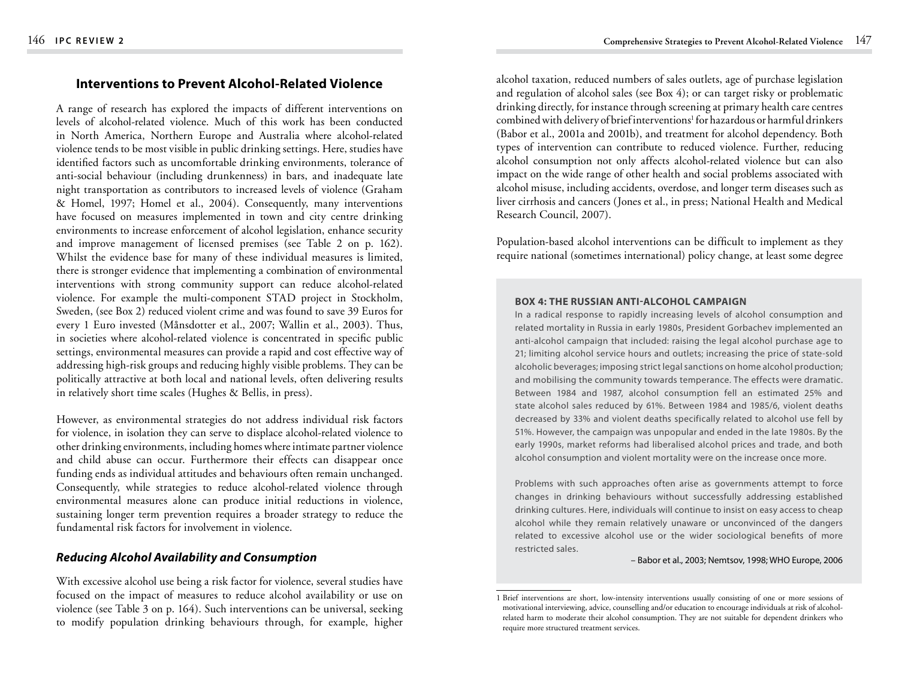# **Interventions to Prevent Alcohol-Related Violence**

A range of research has explored the impacts of different interventions on levels of alcohol-related violence. Much of this work has been conducted in North America, Northern Europe and Australia where alcohol-related violence tends to be most visible in public drinking settings. Here, studies have identified factors such as uncomfortable drinking environments, tolerance of anti-social behaviour (including drunkenness) in bars, and inadequate late night transportation as contributors to increased levels of violence (Graham & Homel, 1997; Homel et al., 2004). Consequently, many interventions have focused on measures implemented in town and city centre drinking environments to increase enforcement of alcohol legislation, enhance security and improve management of licensed premises (see Table 2 on p. 162). Whilst the evidence base for many of these individual measures is limited, there is stronger evidence that implementing a combination of environmental interventions with strong community support can reduce alcohol-related violence. For example the multi-component STAD project in Stockholm, Sweden, (see Box 2) reduced violent crime and was found to save 39 Euros for every 1 Euro invested (Månsdotter et al., 2007; Wallin et al., 2003). Thus, in societies where alcohol-related violence is concentrated in specific public settings, environmental measures can provide a rapid and cost effective way of addressing high-risk groups and reducing highly visible problems. They can be politically attractive at both local and national levels, often delivering results in relatively short time scales (Hughes & Bellis, in press).

However, as environmental strategies do not address individual risk factors for violence, in isolation they can serve to displace alcohol-related violence to other drinking environments, including homes where intimate partner violence and child abuse can occur. Furthermore their effects can disappear once funding ends as individual attitudes and behaviours often remain unchanged. Consequently, while strategies to reduce alcohol-related violence through environmental measures alone can produce initial reductions in violence, sustaining longer term prevention requires a broader strategy to reduce the fundamental risk factors for involvement in violence.

# *Reducing Alcohol Availability and Consumption*

With excessive alcohol use being a risk factor for violence, several studies have focused on the impact of measures to reduce alcohol availability or use on violence (see Table 3 on p. 164). Such interventions can be universal, seeking to modify population drinking behaviours through, for example, higher

alcohol taxation, reduced numbers of sales outlets, age of purchase legislation and regulation of alcohol sales (see Box 4); or can target risky or problematic drinking directly, for instance through screening at primary health care centres combined with delivery of brief interventions<sup>1</sup> for hazardous or harmful drinkers (Babor et al., 2001a and 2001b), and treatment for alcohol dependency. Both types of intervention can contribute to reduced violence. Further, reducing alcohol consumption not only affects alcohol-related violence but can also impact on the wide range of other health and social problems associated with alcohol misuse, including accidents, overdose, and longer term diseases such as liver cirrhosis and cancers (Jones et al., in press; National Health and Medical Research Council, 2007).

Population-based alcohol interventions can be difficult to implement as they require national (sometimes international) policy change, at least some degree

### **Box 4: The Russian anti-alcohol campaign**

In a radical response to rapidly increasing levels of alcohol consumption and related mortality in Russia in early 1980s, President Gorbachev implemented an anti-alcohol campaign that included: raising the legal alcohol purchase age to 21; limiting alcohol service hours and outlets; increasing the price of state-sold alcoholic beverages; imposing strict legal sanctions on home alcohol production; and mobilising the community towards temperance. The effects were dramatic. Between 1984 and 1987, alcohol consumption fell an estimated 25% and state alcohol sales reduced by 61%. Between 1984 and 1985/6, violent deaths decreased by 33% and violent deaths specifically related to alcohol use fell by 51%. However, the campaign was unpopular and ended in the late 1980s. By the early 1990s, market reforms had liberalised alcohol prices and trade, and both alcohol consumption and violent mortality were on the increase once more.

Problems with such approaches often arise as governments attempt to force changes in drinking behaviours without successfully addressing established drinking cultures. Here, individuals will continue to insist on easy access to cheap alcohol while they remain relatively unaware or unconvinced of the dangers related to excessive alcohol use or the wider sociological benefits of more restricted sales.

#### – Babor et al., 2003; Nemtsov, 1998; WHO Europe, 2006

<sup>1</sup> Brief interventions are short, low-intensity interventions usually consisting of one or more sessions of motivational interviewing, advice, counselling and/or education to encourage individuals at risk of alcoholrelated harm to moderate their alcohol consumption. They are not suitable for dependent drinkers who require more structured treatment services.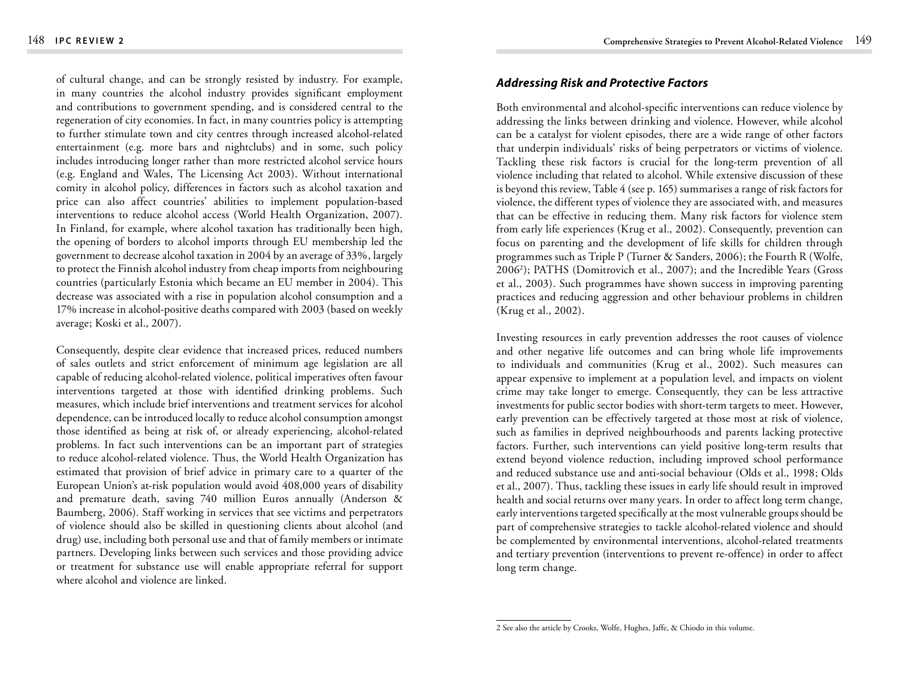of cultural change, and can be strongly resisted by industry. For example, in many countries the alcohol industry provides significant employment and contributions to government spending, and is considered central to the regeneration of city economies. In fact, in many countries policy is attempting to further stimulate town and city centres through increased alcohol-related entertainment (e.g. more bars and nightclubs) and in some, such policy includes introducing longer rather than more restricted alcohol service hours (e.g. England and Wales, The Licensing Act 2003). Without international comity in alcohol policy, differences in factors such as alcohol taxation and price can also affect countries' abilities to implement population-based interventions to reduce alcohol access (World Health Organization, 2007). In Finland, for example, where alcohol taxation has traditionally been high, the opening of borders to alcohol imports through EU membership led the government to decrease alcohol taxation in 2004 by an average of 33%, largely to protect the Finnish alcohol industry from cheap imports from neighbouring countries (particularly Estonia which became an EU member in 2004). This decrease was associated with a rise in population alcohol consumption and a 17% increase in alcohol-positive deaths compared with 2003 (based on weekly average; Koski et al., 2007).

Consequently, despite clear evidence that increased prices, reduced numbers of sales outlets and strict enforcement of minimum age legislation are all capable of reducing alcohol-related violence, political imperatives often favour interventions targeted at those with identified drinking problems. Such measures, which include brief interventions and treatment services for alcohol dependence, can be introduced locally to reduce alcohol consumption amongst those identified as being at risk of, or already experiencing, alcohol-related problems. In fact such interventions can be an important part of strategies to reduce alcohol-related violence. Thus, the World Health Organization has estimated that provision of brief advice in primary care to a quarter of the European Union's at-risk population would avoid 408,000 years of disability and premature death, saving 740 million Euros annually (Anderson & Baumberg, 2006). Staff working in services that see victims and perpetrators of violence should also be skilled in questioning clients about alcohol (and drug) use, including both personal use and that of family members or intimate partners. Developing links between such services and those providing advice or treatment for substance use will enable appropriate referral for support where alcohol and violence are linked.

## *Addressing Risk and Protective Factors*

Both environmental and alcohol-specific interventions can reduce violence by addressing the links between drinking and violence. However, while alcohol can be a catalyst for violent episodes, there are a wide range of other factors that underpin individuals' risks of being perpetrators or victims of violence. Tackling these risk factors is crucial for the long-term prevention of all violence including that related to alcohol. While extensive discussion of these is beyond this review, Table 4 (see p. 165) summarises a range of risk factors for violence, the different types of violence they are associated with, and measures that can be effective in reducing them. Many risk factors for violence stem from early life experiences (Krug et al., 2002). Consequently, prevention can focus on parenting and the development of life skills for children through programmes such as Triple P (Turner & Sanders, 2006); the Fourth R (Wolfe, 2006 ); PATHS (Domitrovich et al., 2007); and the Incredible Years (Gross et al., 2003). Such programmes have shown success in improving parenting practices and reducing aggression and other behaviour problems in children (Krug et al., 2002).

Investing resources in early prevention addresses the root causes of violence and other negative life outcomes and can bring whole life improvements to individuals and communities (Krug et al., 2002). Such measures can appear expensive to implement at a population level, and impacts on violent crime may take longer to emerge. Consequently, they can be less attractive investments for public sector bodies with short-term targets to meet. However, early prevention can be effectively targeted at those most at risk of violence, such as families in deprived neighbourhoods and parents lacking protective factors. Further, such interventions can yield positive long-term results that extend beyond violence reduction, including improved school performance and reduced substance use and anti-social behaviour (Olds et al., 1998; Olds et al., 2007). Thus, tackling these issues in early life should result in improved health and social returns over many years. In order to affect long term change, early interventions targeted specifically at the most vulnerable groups should be part of comprehensive strategies to tackle alcohol-related violence and should be complemented by environmental interventions, alcohol-related treatments and tertiary prevention (interventions to prevent re-offence) in order to affect long term change.

<sup>2</sup> See also the article by Crooks, Wolfe, Hughes, Jaffe, & Chiodo in this volume.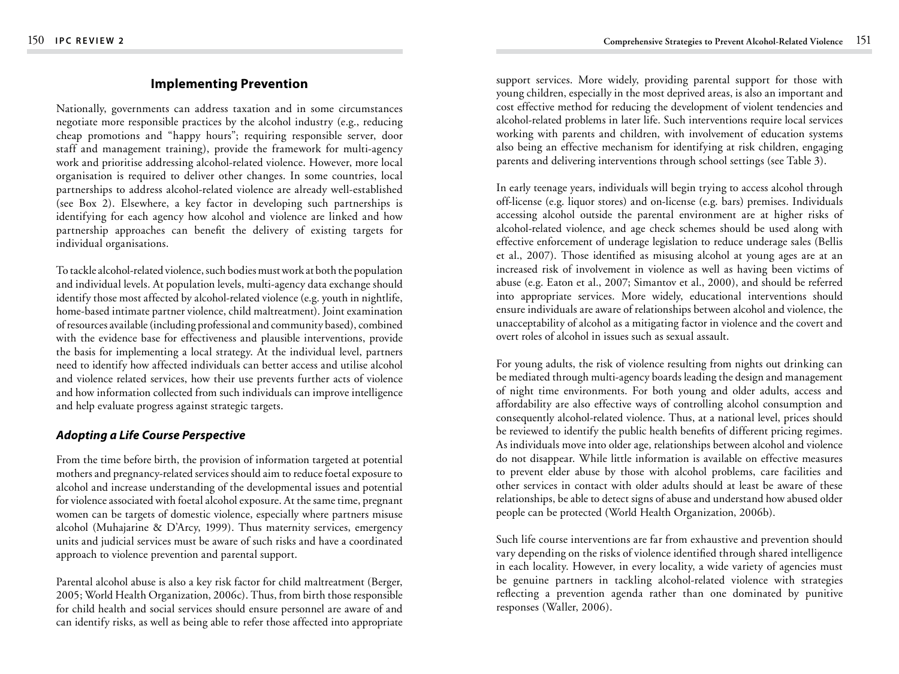# **Implementing Prevention**

Nationally, governments can address taxation and in some circumstances negotiate more responsible practices by the alcohol industry (e.g., reducing cheap promotions and "happy hours"; requiring responsible server, door staff and management training), provide the framework for multi-agency work and prioritise addressing alcohol-related violence. However, more local organisation is required to deliver other changes. In some countries, local partnerships to address alcohol-related violence are already well-established (see Box 2). Elsewhere, a key factor in developing such partnerships is identifying for each agency how alcohol and violence are linked and how partnership approaches can benefit the delivery of existing targets for individual organisations.

To tackle alcohol-related violence, such bodies must work at both the population and individual levels. At population levels, multi-agency data exchange should identify those most affected by alcohol-related violence (e.g. youth in nightlife, home-based intimate partner violence, child maltreatment). Joint examination ofresources available(including professional and community based), combined with the evidence base for effectiveness and plausible interventions, provide the basis for implementing a local strategy. At the individual level, partners need to identify how affected individuals can better access and utilise alcohol and violence related services, how their use prevents further acts of violence and how information collected from such individuals can improve intelligence and help evaluate progress against strategic targets.

# *Adopting a Life Course Perspective*

From the time before birth, the provision of information targeted at potential mothers and pregnancy-related services should aim to reduce foetal exposure to alcohol and increase understanding of the developmental issues and potential for violence associated with foetal alcohol exposure. At the same time, pregnant women can be targets of domestic violence, especially where partners misuse alcohol (Muhajarine & D'Arcy, 1999). Thus maternity services, emergency units and judicial services must be aware of such risks and have a coordinated approach to violence prevention and parental support.

Parental alcohol abuse is also a key risk factor for child maltreatment (Berger, 2005; World Health Organization, 2006c). Thus, from birth thoseresponsible for child health and social services should ensure personnel are aware of and can identify risks, as well as being able to refer those affected into appropriate support services. More widely, providing parental support for those with young children, especially in the most deprived areas, is also an important and cost effective method for reducing the development of violent tendencies and alcohol-related problems in later life. Such interventions require local services working with parents and children, with involvement of education systems also being an effective mechanism for identifying at risk children, engaging parents and delivering interventions through school settings (see Table 3).

In early teenage years, individuals will begin trying to access alcohol through off-license (e.g. liquor stores) and on-license (e.g. bars) premises. Individuals accessing alcohol outside the parental environment are at higher risks of alcohol-related violence, and age check schemes should be used along with effective enforcement of underage legislation to reduce underage sales (Bellis et al., 2007). Those identified as misusing alcohol at young ages are at an increased risk of involvement in violence as well as having been victims of abuse (e.g. Eaton et al., 2007; Simantov et al., 2000), and should be referred into appropriate services. More widely, educational interventions should ensure individuals are aware of relationships between alcohol and violence, the unacceptability of alcohol as a mitigating factor in violence and the covert and overt roles of alcohol in issues such as sexual assault.

For young adults, the risk of violence resulting from nights out drinking can be mediated through multi-agency boards leading the design and management of night time environments. For both young and older adults, access and affordability are also effective ways of controlling alcohol consumption and consequently alcohol-related violence. Thus, at a national level, prices should be reviewed to identify the public health benefits of different pricing regimes. As individuals move into older age, relationships between alcohol and violence do not disappear. While little information is available on effective measures to prevent elder abuse by those with alcohol problems, care facilities and other services in contact with older adults should at least be aware of these relationships, be able to detect signs of abuse and understand how abused older people can be protected (World Health Organization, 2006b).

Such life course interventions are far from exhaustive and prevention should vary depending on the risks of violence identified through shared intelligence in each locality. However, in every locality, a wide variety of agencies must be genuine partners in tackling alcohol-related violence with strategies reflecting a prevention agenda rather than one dominated by punitive responses (Waller, 2006).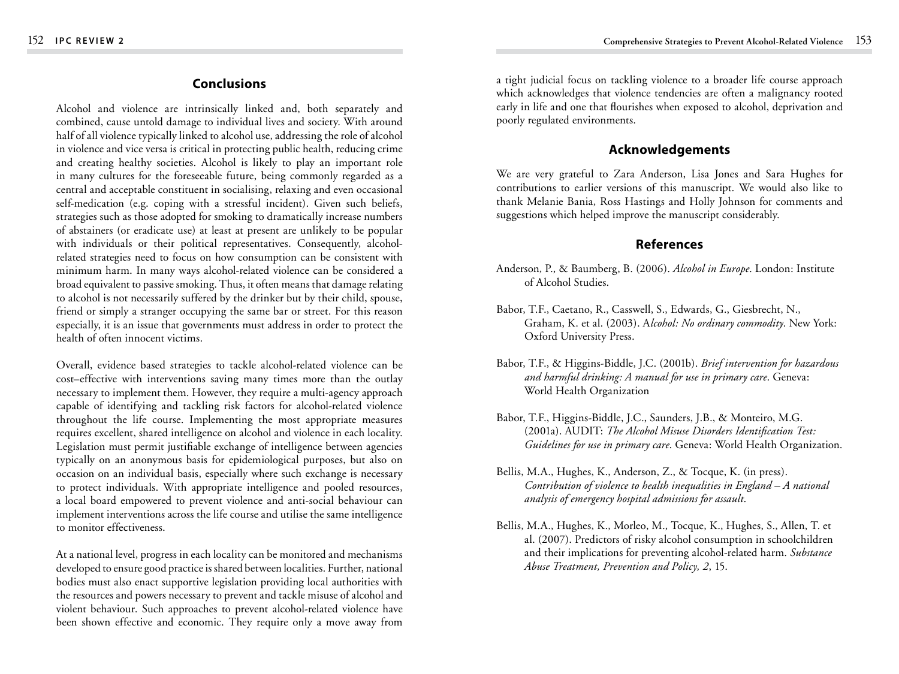## **Conclusions**

Alcohol and violence are intrinsically linked and, both separately and combined, cause untold damage to individual lives and society. With around half of all violence typically linked to alcohol use, addressing the role of alcohol in violence and vice versa is critical in protecting public health, reducing crime and creating healthy societies. Alcohol is likely to play an important role in many cultures for the foreseeable future, being commonly regarded as a central and acceptable constituent in socialising, relaxing and even occasional self-medication (e.g. coping with a stressful incident). Given such beliefs, strategies such as those adopted for smoking to dramatically increase numbers of abstainers (or eradicate use) at least at present are unlikely to be popular with individuals or their political representatives. Consequently, alcoholrelated strategies need to focus on how consumption can be consistent with minimum harm. In many ways alcohol-related violence can be considered a broad equivalent to passive smoking. Thus, it often means that damage relating to alcohol is not necessarily suffered by the drinker but by their child, spouse, friend or simply a stranger occupying the same bar or street. For this reason especially, it is an issue that governments must address in order to protect the health of often innocent victims.

Overall, evidence based strategies to tackle alcohol-related violence can be cost–effective with interventions saving many times more than the outlay necessary to implement them. However, they require a multi-agency approach capable of identifying and tackling risk factors for alcohol-related violence throughout the life course. Implementing the most appropriate measures requires excellent, shared intelligence on alcohol and violence in each locality. Legislation must permit justifiable exchange of intelligence between agencies typically on an anonymous basis for epidemiological purposes, but also on occasion on an individual basis, especially where such exchange is necessary to protect individuals. With appropriate intelligence and pooled resources, a local board empowered to prevent violence and anti-social behaviour can implement interventions across the life course and utilise the same intelligence to monitor effectiveness.

At a national level, progress in each locality can be monitored and mechanisms developed to ensure good practice is shared between localities. Further, national bodies must also enact supportive legislation providing local authorities with the resources and powers necessary to prevent and tackle misuse of alcohol and violent behaviour. Such approaches to prevent alcohol-related violence have been shown effective and economic. They require only a move away from

a tight judicial focus on tackling violence to a broader life course approach which acknowledges that violence tendencies are often a malignancy rooted early in life and one that flourishes when exposed to alcohol, deprivation and poorly regulated environments.

# **Acknowledgements**

We are very grateful to Zara Anderson, Lisa Jones and Sara Hughes for contributions to earlier versions of this manuscript. We would also like to thank Melanie Bania, Ross Hastings and Holly Johnson for comments and suggestions which helped improve the manuscript considerably.

# **References**

- Anderson, P., & Baumberg, B. (2006). *Alcohol in Europe*. London: Institute of Alcohol Studies.
- Babor, T.F., Caetano, R., Casswell, S., Edwards, G., Giesbrecht, N., Graham, K. et al. (2003). A*lcohol: No ordinary commodity*. New York: Oxford University Press.
- Babor, T.F., & Higgins-Biddle, J.C. (2001b). *Brief intervention for hazardous and harmful drinking: A manual for use in primary care*. Geneva: World Health Organization
- Babor, T.F., Higgins-Biddle, J.C., Saunders, J.B., & Monteiro, M.G. (2001a). AUDIT: *The Alcohol Misuse Disorders Identification Test: Guidelines for use in primary care*. Geneva: World Health Organization.
- Bellis, M.A., Hughes, K., Anderson, Z., & Tocque, K. (in press). *Contribution of violence to health inequalities in England – A national analysis of emergency hospital admissions for assault*.
- Bellis, M.A., Hughes, K., Morleo, M., Tocque, K., Hughes, S., Allen, T. et al. (2007). Predictors of risky alcohol consumption in schoolchildren and their implications for preventing alcohol-related harm. *Substance Abuse Treatment, Prevention and Policy, 2*, 15.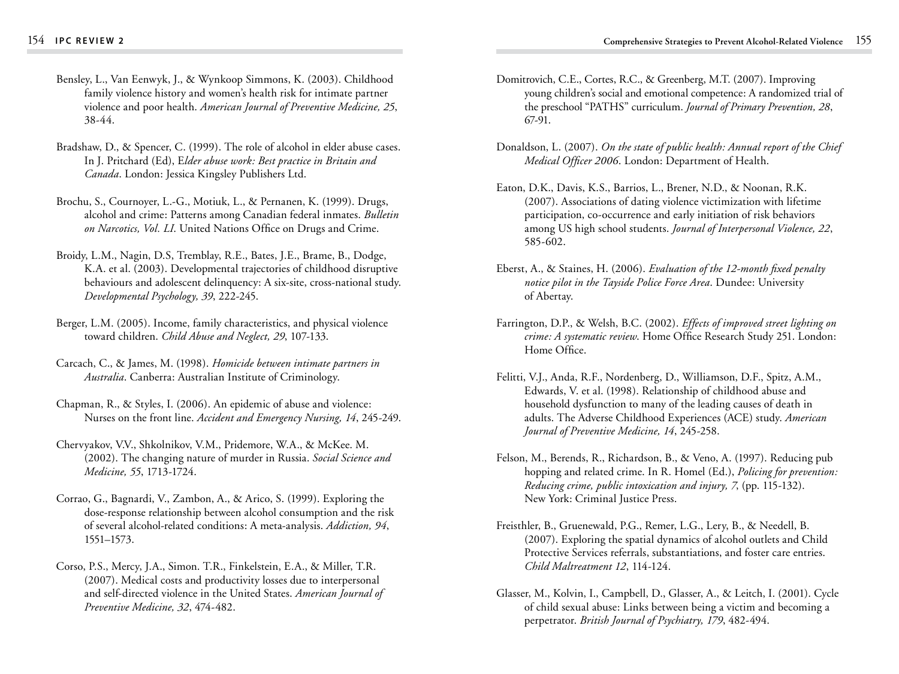- Bensley, L., Van Eenwyk, J., & Wynkoop Simmons, K. (2003). Childhood family violence history and women's health risk for intimate partner violence and poor health. *American Journal of Preventive Medicine, 25*, 38-44.
- Bradshaw, D., & Spencer, C. (1999). The role of alcohol in elder abuse cases. In J. Pritchard (Ed), E*lder abuse work: Best practice in Britain and Canada*. London: Jessica Kingsley Publishers Ltd.
- Brochu, S., Cournoyer, L.-G., Motiuk, L., & Pernanen, K. (1999). Drugs, alcohol and crime: Patterns among Canadian federal inmates. *Bulletin on Narcotics, Vol. LI*. United Nations Office on Drugs and Crime.
- Broidy, L.M., Nagin, D.S, Tremblay, R.E., Bates, J.E., Brame, B., Dodge, K.A. et al. (2003). Developmental trajectories of childhood disruptive behaviours and adolescent delinquency: A six-site, cross-national study. *Developmental Psychology, 39*, 222-245.
- Berger, L.M. (2005). Income, family characteristics, and physical violence toward children. *Child Abuse and Neglect, 29*, 107-133.
- Carcach, C., & James, M. (1998). *Homicide between intimate partners in Australia*. Canberra: Australian Institute of Criminology.
- Chapman, R., & Styles, I. (2006). An epidemic of abuse and violence: Nurses on the front line. *Accident and Emergency Nursing, 14*, 245-249.
- Chervyakov, V.V., Shkolnikov, V.M., Pridemore, W.A., & McKee. M. (2002). The changing nature of murder in Russia. *Social Science and Medicine, 55*, 1713-1724.
- Corrao, G., Bagnardi, V., Zambon, A., & Arico, S. (1999). Exploring the dose-response relationship between alcohol consumption and the risk of several alcohol-related conditions: A meta-analysis. *Addiction, 94*, 1551–1573.
- Corso, P.S., Mercy, J.A., Simon. T.R., Finkelstein, E.A., & Miller, T.R. (2007). Medical costs and productivity losses due to interpersonal and self-directed violence in the United States. *American Journal of Preventive Medicine, 32*, 474-482.
- Domitrovich, C.E., Cortes, R.C., & Greenberg, M.T. (2007). Improving young children's social and emotional competence: A randomized trial of the preschool "PATHS" curriculum. *Journal of Primary Prevention, 28*, 67-91.
- Donaldson, L. (2007). *On the state of public health: Annual report of the Chief Medical Officer 2006*. London: Department of Health.
- Eaton, D.K., Davis, K.S., Barrios, L., Brener, N.D., & Noonan, R.K. (2007). Associations of dating violence victimization with lifetime participation, co-occurrence and early initiation of risk behaviors among US high school students. *Journal of Interpersonal Violence, 22*, 585-602.
- Eberst, A., & Staines, H. (2006). *Evaluation of the 12-month fixed penalty notice pilot in the Tayside Police Force Area*. Dundee: University of Abertay.
- Farrington, D.P., & Welsh, B.C. (2002). *Effects of improved street lighting on crime: A systematic review*. Home Office Research Study 251. London: Home Office.
- Felitti, V.J., Anda, R.F., Nordenberg, D., Williamson, D.F., Spitz, A.M., Edwards, V. et al. (1998). Relationship of childhood abuse and household dysfunction to many of the leading causes of death in adults. The Adverse Childhood Experiences (ACE) study. *American Journal of Preventive Medicine, 14*, 245-258.
- Felson, M., Berends, R., Richardson, B., & Veno, A. (1997). Reducing pub hopping and related crime. In R. Homel (Ed.), *Policing for prevention: Reducing crime, public intoxication and injury, 7*, (pp. 115-132). New York: Criminal Justice Press.
- Freisthler, B., Gruenewald, P.G., Remer, L.G., Lery, B., & Needell, B. (2007). Exploring the spatial dynamics of alcohol outlets and Child Protective Services referrals, substantiations, and foster care entries. *Child Maltreatment 12*, 114-124.
- Glasser, M., Kolvin, I., Campbell, D., Glasser, A., & Leitch, I. (2001). Cycle of child sexual abuse: Links between being a victim and becoming a perpetrator. *British Journal of Psychiatry, 179*, 482-494.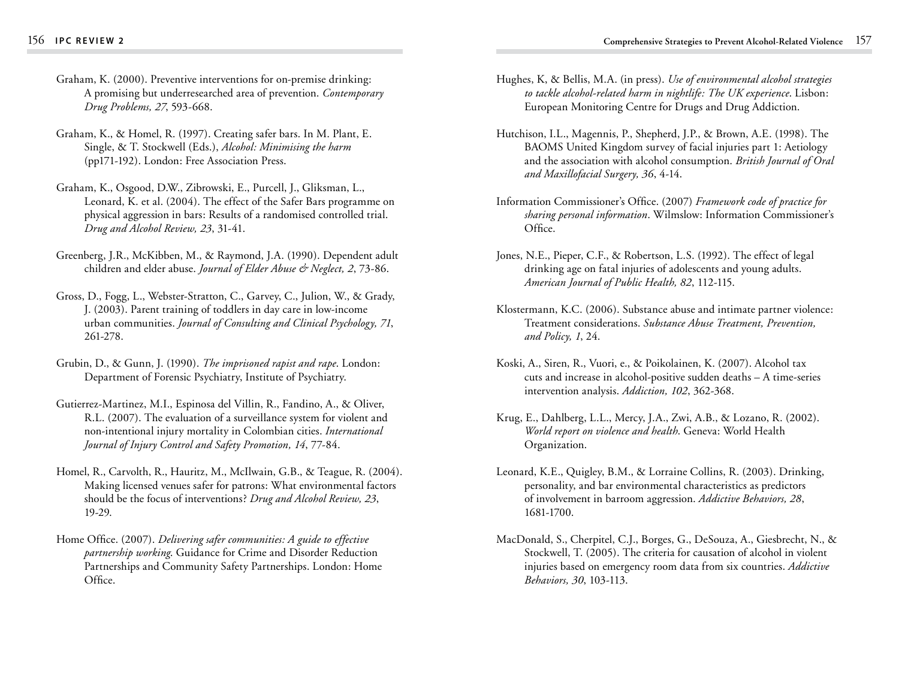- Graham, K. (2000). Preventive interventions for on-premise drinking: A promising but underresearched area of prevention. *Contemporary Drug Problems, 27*, 593-668.
- Graham, K., & Homel, R. (1997). Creating safer bars. In M. Plant, E. Single, & T. Stockwell (Eds.), *Alcohol: Minimising the harm* (pp171-192). London: Free Association Press.
- Graham, K., Osgood, D.W., Zibrowski, E., Purcell, J., Gliksman, L., Leonard, K. et al. (2004). The effect of the Safer Bars programme on physical aggression in bars: Results of a randomised controlled trial. *Drug and Alcohol Review, 23*, 31-41.
- Greenberg, J.R., McKibben, M., & Raymond, J.A. (1990). Dependent adult children and elder abuse. *Journal of Elder Abuse & Neglect, 2*, 73-86.
- Gross, D., Fogg, L., Webster-Stratton, C., Garvey, C., Julion, W., & Grady, J. (2003). Parent training of toddlers in day care in low-income urban communities. *Journal of Consulting and Clinical Psychology, 71*, 261-278.
- Grubin, D., & Gunn, J. (1990). *The imprisoned rapist and rape*. London: Department of Forensic Psychiatry, Institute of Psychiatry.
- Gutierrez-Martinez, M.I., Espinosa del Villin, R., Fandino, A., & Oliver, R.L. (2007). The evaluation of a surveillance system for violent and non-intentional injury mortality in Colombian cities. *International Journal of Injury Control and Safety Promotion, 14*, 77-84.
- Homel, R., Carvolth, R., Hauritz, M., McIlwain, G.B., & Teague, R. (2004). Making licensed venues safer for patrons: What environmental factors should be the focus of interventions? *Drug and Alcohol Review, 23*, 19-29.
- Home Office. (2007). *Delivering safer communities: A guide to effective partnership working*. Guidance for Crime and Disorder Reduction Partnerships and Community Safety Partnerships. London: Home Office.
- Hughes, K, & Bellis, M.A. (in press). *Use of environmental alcohol strategies to tackle alcohol-related harm in nightlife: The UK experience*. Lisbon: European Monitoring Centre for Drugs and Drug Addiction.
- Hutchison, I.L., Magennis, P., Shepherd, J.P., & Brown, A.E. (1998). The BAOMS United Kingdom survey of facial injuries part 1: Aetiology and the association with alcohol consumption. *British Journal of Oral and Maxillofacial Surgery, 36*, 4-14.
- Information Commissioner's Office. (2007) *Framework code of practice for sharing personal information*. Wilmslow: Information Commissioner's Office.
- Jones, N.E., Pieper, C.F., & Robertson, L.S. (1992). The effect of legal drinking age on fatal injuries of adolescents and young adults. *American Journal of Public Health, 82*, 112-115.
- Klostermann, K.C. (2006). Substance abuse and intimate partner violence: Treatment considerations. *Substance Abuse Treatment, Prevention, and Policy, 1*, 24.
- Koski, A., Siren, R., Vuori, e., & Poikolainen, K. (2007). Alcohol tax cuts and increase in alcohol-positive sudden deaths – A time-series intervention analysis. *Addiction, 102*, 362-368.
- Krug, E., Dahlberg, L.L., Mercy, J.A., Zwi, A.B., & Lozano, R. (2002). *World report on violence and health*. Geneva: World Health Organization.
- Leonard, K.E., Quigley, B.M., & Lorraine Collins, R. (2003). Drinking, personality, and bar environmental characteristics as predictors of involvement in barroom aggression. *Addictive Behaviors, 28*, 1681-1700.
- MacDonald, S., Cherpitel, C.J., Borges, G., DeSouza, A., Giesbrecht, N., & Stockwell, T. (2005). The criteria for causation of alcohol in violent injuries based on emergency room data from six countries. *Addictive Behaviors, 30*, 103-113.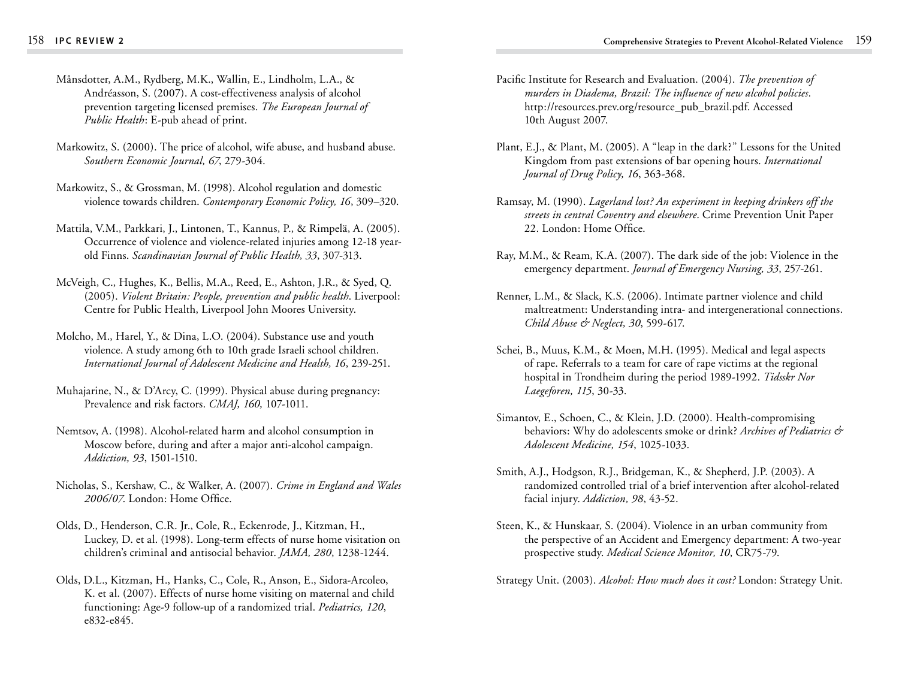- Månsdotter, A.M., Rydberg, M.K., Wallin, E., Lindholm, L.A., & Andréasson, S. (2007). A cost-effectiveness analysis of alcohol prevention targeting licensed premises. *The European Journal of Public Health*: E-pub ahead of print.
- Markowitz, S. (2000). The price of alcohol, wife abuse, and husband abuse. *Southern Economic Journal, 67*, 279-304.
- Markowitz, S., & Grossman, M. (1998). Alcohol regulation and domestic violence towards children. *Contemporary Economic Policy, 16*, 309–320.
- Mattila, V.M., Parkkari, J., Lintonen, T., Kannus, P., & Rimpelä, A. (2005). Occurrence of violence and violence-related injuries among 12-18 yearold Finns. *Scandinavian Journal of Public Health, 33*, 307-313.
- McVeigh, C., Hughes, K., Bellis, M.A., Reed, E., Ashton, J.R., & Syed, Q. (2005). *Violent Britain: People, prevention and public health*. Liverpool: Centre for Public Health, Liverpool John Moores University.
- Molcho, M., Harel, Y., & Dina, L.O. (2004). Substance use and youth violence. A study among 6th to 10th grade Israeli school children. *International Journal of Adolescent Medicine and Health, 16*, 239-251.
- Muhajarine, N., & D'Arcy, C. (1999). Physical abuse during pregnancy: Prevalence and risk factors. *CMAJ, 160,* 107-1011.
- Nemtsov, A. (1998). Alcohol-related harm and alcohol consumption in Moscow before, during and after a major anti-alcohol campaign. *Addiction, 93*, 1501-1510.
- Nicholas, S., Kershaw, C., & Walker, A. (2007). *Crime in England and Wales 2006/07*. London: Home Office.
- Olds, D., Henderson, C.R. Jr., Cole, R., Eckenrode, J., Kitzman, H., Luckey, D. et al. (1998). Long-term effects of nurse home visitation on children's criminal and antisocial behavior. *JAMA, 280*, 1238-1244.
- Olds, D.L., Kitzman, H., Hanks, C., Cole, R., Anson, E., Sidora-Arcoleo, K. et al. (2007). Effects of nurse home visiting on maternal and child functioning: Age-9 follow-up of a randomized trial. *Pediatrics, 120*, e832-e845.
- Pacific Institute for Research and Evaluation. (2004). *The prevention of murders in Diadema, Brazil: The influence of new alcohol policies*. http://resources.prev.org/resource\_pub\_brazil.pdf. Accessed 10th August 2007.
- Plant, E.J., & Plant, M. (2005). A "leap in the dark?" Lessons for the United Kingdom from past extensions of bar opening hours. *International Journal of Drug Policy, 16*, 363-368.
- Ramsay, M. (1990). *Lagerland lost? An experiment in keeping drinkers off the streets in central Coventry and elsewhere*. Crime Prevention Unit Paper 22. London: Home Office.
- Ray, M.M., & Ream, K.A. (2007). The dark side of the job: Violence in the emergency department. *Journal of Emergency Nursing, 33*, 257-261.
- Renner, L.M., & Slack, K.S. (2006). Intimate partner violence and child maltreatment: Understanding intra- and intergenerational connections. *Child Abuse & Neglect, 30*, 599-617.
- Schei, B., Muus, K.M., & Moen, M.H. (1995). Medical and legal aspects of rape. Referrals to a team for care of rape victims at the regional hospital in Trondheim during the period 1989-1992. *Tidsskr Nor Laegeforen, 115*, 30-33.
- Simantov, E., Schoen, C., & Klein, J.D. (2000). Health-compromising behaviors: Why do adolescents smoke or drink? *Archives of Pediatrics & Adolescent Medicine, 154*, 1025-1033.
- Smith, A.J., Hodgson, R.J., Bridgeman, K., & Shepherd, J.P. (2003). A randomized controlled trial of a brief intervention after alcohol-related facial injury. *Addiction, 98*, 43-52.
- Steen, K., & Hunskaar, S. (2004). Violence in an urban community from the perspective of an Accident and Emergency department: A two-year prospective study. *Medical Science Monitor, 10*, CR75-79.

Strategy Unit. (2003). *Alcohol: How much does it cost?* London: Strategy Unit.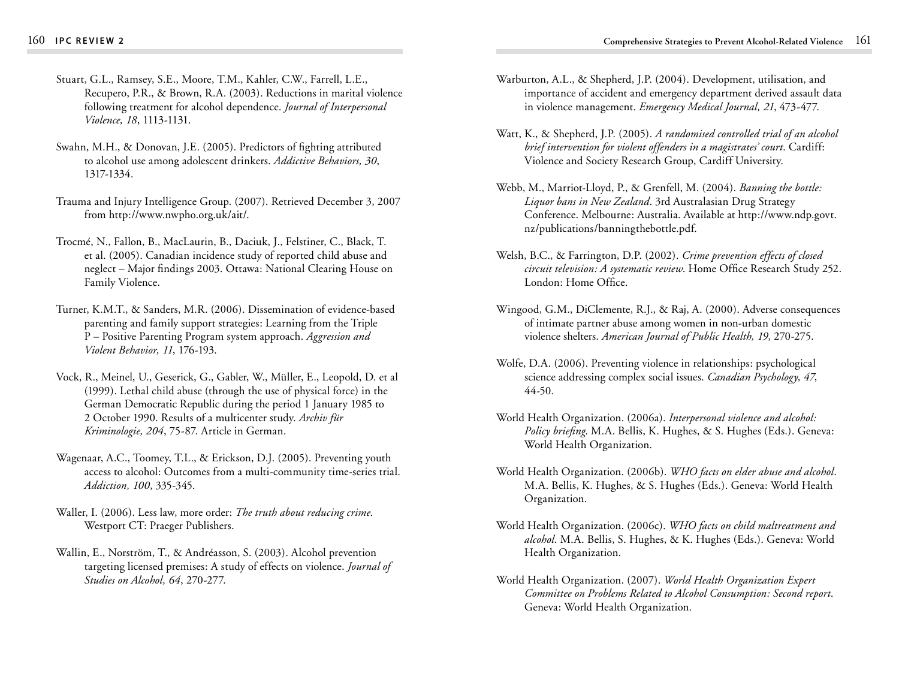- Stuart, G.L., Ramsey, S.E., Moore, T.M., Kahler, C.W., Farrell, L.E., Recupero, P.R., & Brown, R.A. (2003). Reductions in marital violence following treatment for alcohol dependence. *Journal of Interpersonal Violence, 18*, 1113-1131.
- Swahn, M.H., & Donovan, J.E. (2005). Predictors of fighting attributed to alcohol use among adolescent drinkers. *Addictive Behaviors, 30*, 1317-1334.
- Trauma and Injury Intelligence Group. (2007). Retrieved December 3, 2007 from http://www.nwpho.org.uk/ait/.
- Trocmé, N., Fallon, B., MacLaurin, B., Daciuk, J., Felstiner, C., Black, T. et al. (2005). Canadian incidence study of reported child abuse and neglect – Major findings 2003. Ottawa: National Clearing House on Family Violence.
- Turner, K.M.T., & Sanders, M.R. (2006). Dissemination of evidence-based parenting and family support strategies: Learning from the Triple P – Positive Parenting Program system approach. *Aggression and Violent Behavior, 11*, 176-193.
- Vock, R., Meinel, U., Geserick, G., Gabler, W., Müller, E., Leopold, D. et al (1999). Lethal child abuse (through the use of physical force) in the German Democratic Republic during the period 1 January 1985 to 2 October 1990. Results of a multicenter study. *Archiv für Kriminologie, 204*, 75-87. Article in German.
- Wagenaar, A.C., Toomey, T.L., & Erickson, D.J. (2005). Preventing youth access to alcohol: Outcomes from a multi-community time-series trial. *Addiction, 100*, 335-345.
- Waller, I. (2006). Less law, more order: *The truth about reducing crime*. Westport CT: Praeger Publishers.
- Wallin, E., Norström, T., & Andréasson, S. (2003). Alcohol prevention targeting licensed premises: A study of effects on violence. *Journal of Studies on Alcohol, 64*, 270-277.
- Warburton, A.L., & Shepherd, J.P. (2004). Development, utilisation, and importance of accident and emergency department derived assault data in violence management. *Emergency Medical Journal, 21*, 473-477.
- Watt, K., & Shepherd, J.P. (2005). *A randomised controlled trial of an alcohol brief intervention for violent offenders in a magistrates' court*. Cardiff: Violence and Society Research Group, Cardiff University.
- Webb, M., Marriot-Lloyd, P., & Grenfell, M. (2004). *Banning the bottle: Liquor bans in New Zealand*. 3rd Australasian Drug Strategy Conference. Melbourne: Australia. Available at http://www.ndp.govt. nz/publications/banningthebottle.pdf.
- Welsh, B.C., & Farrington, D.P. (2002). *Crime prevention effects of closed circuit television: A systematic review*. Home Office Research Study 252. London: Home Office.
- Wingood, G.M., DiClemente, R.J., & Raj, A. (2000). Adverse consequences of intimate partner abuse among women in non-urban domestic violence shelters. *American Journal of Public Health, 19*, 270-275.
- Wolfe, D.A. (2006). Preventing violence in relationships: psychological science addressing complex social issues. *Canadian Psychology, 47*, 44-50.
- World Health Organization. (2006a). *Interpersonal violence and alcohol: Policy briefing*. M.A. Bellis, K. Hughes, & S. Hughes (Eds.). Geneva: World Health Organization.
- World Health Organization. (2006b). *WHO facts on elder abuse and alcohol*. M.A. Bellis, K. Hughes, & S. Hughes (Eds.). Geneva: World Health Organization.
- World Health Organization. (2006c). *WHO facts on child maltreatment and alcohol*. M.A. Bellis, S. Hughes, & K. Hughes (Eds.). Geneva: World Health Organization.
- World Health Organization. (2007). *World Health Organization Expert Committee on Problems Related to Alcohol Consumption: Second report*. Geneva: World Health Organization.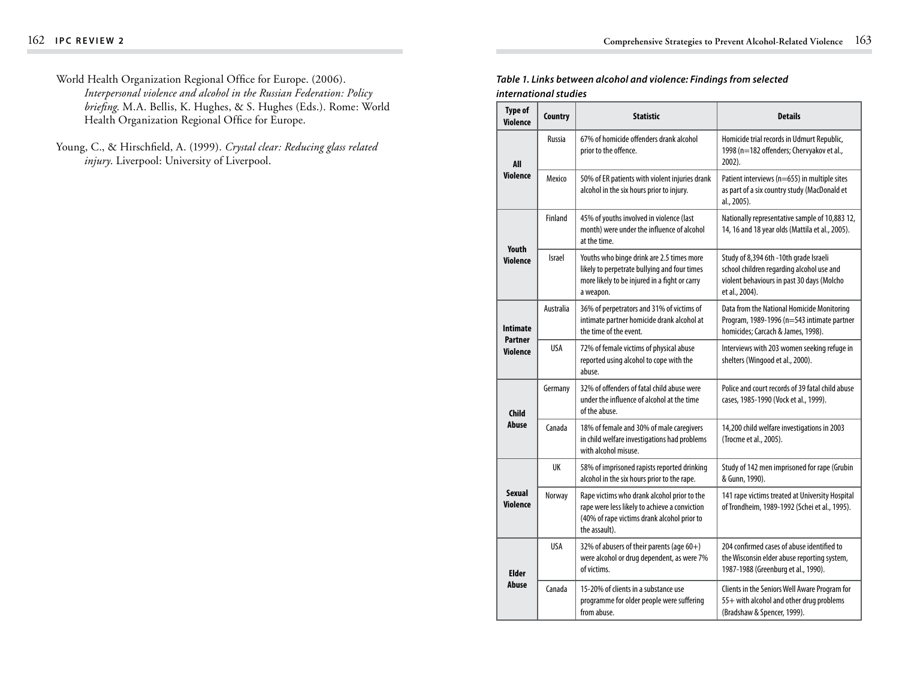- World Health Organization Regional Office for Europe. (2006). *Interpersonal violence and alcohol in the Russian Federation: Policy briefing*. M.A. Bellis, K. Hughes, & S. Hughes (Eds.). Rome: World Health Organization Regional Office for Europe.
- Young, C., & Hirschfield, A. (1999). *Crystal clear: Reducing glass related injury*. Liverpool: University of Liverpool.

## *Table 1. Links between alcohol and violence: Findings from selected international studies*

| <b>Type of</b><br>Violence        | <b>Country</b><br><b>Statistic</b> |                                                                                                                                                              | <b>Details</b>                                                                                                                                      |  |  |  |
|-----------------------------------|------------------------------------|--------------------------------------------------------------------------------------------------------------------------------------------------------------|-----------------------------------------------------------------------------------------------------------------------------------------------------|--|--|--|
| All                               | Russia                             | 67% of homicide offenders drank alcohol<br>prior to the offence.                                                                                             | Homicide trial records in Udmurt Republic,<br>1998 (n=182 offenders; Chervyakov et al.,<br>2002).                                                   |  |  |  |
| <b>Violence</b>                   | Mexico                             | 50% of ER patients with violent injuries drank<br>alcohol in the six hours prior to injury.                                                                  | Patient interviews (n=655) in multiple sites<br>as part of a six country study (MacDonald et<br>al., 2005).                                         |  |  |  |
|                                   | Finland                            | 45% of youths involved in violence (last<br>month) were under the influence of alcohol<br>at the time.                                                       | Nationally representative sample of 10,883 12,<br>14, 16 and 18 year olds (Mattila et al., 2005).                                                   |  |  |  |
| <b>Youth</b><br><b>Violence</b>   | <b>Israel</b>                      | Youths who binge drink are 2.5 times more<br>likely to perpetrate bullying and four times<br>more likely to be injured in a fight or carry<br>a weapon.      | Study of 8,394 6th -10th grade Israeli<br>school children regarding alcohol use and<br>violent behaviours in past 30 days (Molcho<br>et al., 2004). |  |  |  |
| <b>Intimate</b><br><b>Partner</b> | Australia                          | 36% of perpetrators and 31% of victims of<br>intimate partner homicide drank alcohol at<br>the time of the event.                                            | Data from the National Homicide Monitoring<br>Program, 1989-1996 (n=543 intimate partner<br>homicides; Carcach & James, 1998).                      |  |  |  |
| Violence                          | <b>USA</b>                         | 72% of female victims of physical abuse<br>reported using alcohol to cope with the<br>abuse.                                                                 | Interviews with 203 women seeking refuge in<br>shelters (Wingood et al., 2000).                                                                     |  |  |  |
| <b>Child</b>                      | Germany                            | 32% of offenders of fatal child abuse were<br>under the influence of alcohol at the time<br>of the abuse.                                                    | Police and court records of 39 fatal child abuse<br>cases, 1985-1990 (Vock et al., 1999).                                                           |  |  |  |
| Abuse                             | Canada                             | 18% of female and 30% of male caregivers<br>in child welfare investigations had problems<br>with alcohol misuse.                                             | 14,200 child welfare investigations in 2003<br>(Trocme et al., 2005).                                                                               |  |  |  |
|                                   | UK                                 | 58% of imprisoned rapists reported drinking<br>alcohol in the six hours prior to the rape.                                                                   | Study of 142 men imprisoned for rape (Grubin<br>& Gunn, 1990).                                                                                      |  |  |  |
| <b>Sexual</b><br>Violence         | Norway                             | Rape victims who drank alcohol prior to the<br>rape were less likely to achieve a conviction<br>(40% of rape victims drank alcohol prior to<br>the assault). | 141 rape victims treated at University Hospital<br>of Trondheim, 1989-1992 (Schei et al., 1995).                                                    |  |  |  |
| <b>Elder</b>                      | USA                                | 32% of abusers of their parents (age 60+)<br>were alcohol or drug dependent, as were 7%<br>of victims.                                                       | 204 confirmed cases of abuse identified to<br>the Wisconsin elder abuse reporting system,<br>1987-1988 (Greenburg et al., 1990).                    |  |  |  |
| Abuse                             | Canada                             | 15-20% of clients in a substance use<br>programme for older people were suffering<br>from abuse.                                                             | Clients in the Seniors Well Aware Program for<br>55+ with alcohol and other drug problems<br>(Bradshaw & Spencer, 1999).                            |  |  |  |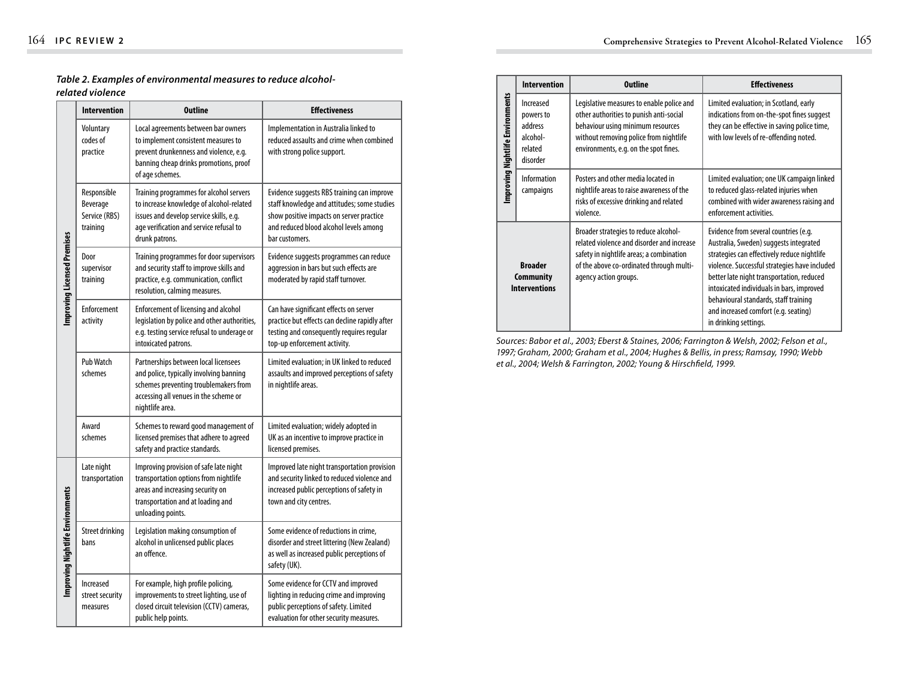## *Table 2. Examples of environmental measures to reduce alcoholrelated violence*

|                                  | <b>Intervention</b>                                  | <b>Outline</b>                                                                                                                                                                              | <b>Effectiveness</b>                                                                                                                                                                              |  |  |
|----------------------------------|------------------------------------------------------|---------------------------------------------------------------------------------------------------------------------------------------------------------------------------------------------|---------------------------------------------------------------------------------------------------------------------------------------------------------------------------------------------------|--|--|
| Improving Licensed Premises      | Voluntary<br>codes of<br>practice                    | Local agreements between bar owners<br>to implement consistent measures to<br>prevent drunkenness and violence, e.g.<br>banning cheap drinks promotions, proof<br>of age schemes.           | Implementation in Australia linked to<br>reduced assaults and crime when combined<br>with strong police support.                                                                                  |  |  |
|                                  | Responsible<br>Beverage<br>Service (RBS)<br>training | Training programmes for alcohol servers<br>to increase knowledge of alcohol-related<br>issues and develop service skills, e.g.<br>age verification and service refusal to<br>drunk patrons. | Evidence suggests RBS training can improve<br>staff knowledge and attitudes; some studies<br>show positive impacts on server practice<br>and reduced blood alcohol levels among<br>bar customers. |  |  |
|                                  | Door<br>supervisor<br>training                       | Training programmes for door supervisors<br>and security staff to improve skills and<br>practice, e.g. communication, conflict<br>resolution, calming measures.                             | Evidence suggests programmes can reduce<br>aggression in bars but such effects are<br>moderated by rapid staff turnover.                                                                          |  |  |
|                                  | Enforcement<br>activity                              | <b>Enforcement of licensing and alcohol</b><br>legislation by police and other authorities,<br>e.g. testing service refusal to underage or<br>intoxicated patrons.                          | Can have significant effects on server<br>practice but effects can decline rapidly after<br>testing and consequently requires regular<br>top-up enforcement activity.                             |  |  |
|                                  | Pub Watch<br>schemes                                 | Partnerships between local licensees<br>and police, typically involving banning<br>schemes preventing troublemakers from<br>accessing all venues in the scheme or<br>nightlife area.        | Limited evaluation; in UK linked to reduced<br>assaults and improved perceptions of safety<br>in nightlife areas.                                                                                 |  |  |
|                                  | Award<br>schemes                                     | Schemes to reward good management of<br>licensed premises that adhere to agreed<br>safety and practice standards.                                                                           | Limited evaluation; widely adopted in<br>UK as an incentive to improve practice in<br>licensed premises.                                                                                          |  |  |
| Improving Nightlife Environments | Late night<br>transportation                         | Improving provision of safe late night<br>transportation options from nightlife<br>areas and increasing security on<br>transportation and at loading and<br>unloading points.               | Improved late night transportation provision<br>and security linked to reduced violence and<br>increased public perceptions of safety in<br>town and city centres.                                |  |  |
|                                  | <b>Street drinking</b><br>bans                       | Legislation making consumption of<br>alcohol in unlicensed public places<br>an offence.                                                                                                     | Some evidence of reductions in crime,<br>disorder and street littering (New Zealand)<br>as well as increased public perceptions of<br>safety (UK).                                                |  |  |
|                                  | Increased<br>street security<br>measures             | For example, high profile policing,<br>improvements to street lighting, use of<br>closed circuit television (CCTV) cameras,<br>public help points.                                          | Some evidence for CCTV and improved<br>lighting in reducing crime and improving<br>public perceptions of safety. Limited<br>evaluation for other security measures.                               |  |  |

|                                                            | <b>Intervention</b>                                                                                                                                                 | <b>Outline</b>                                                                                                                                                                                               | <b>Effectiveness</b>                                                                                                                                                                                                                                                                                                                                                                |  |  |
|------------------------------------------------------------|---------------------------------------------------------------------------------------------------------------------------------------------------------------------|--------------------------------------------------------------------------------------------------------------------------------------------------------------------------------------------------------------|-------------------------------------------------------------------------------------------------------------------------------------------------------------------------------------------------------------------------------------------------------------------------------------------------------------------------------------------------------------------------------------|--|--|
| Improving Nightlife Environments                           | Increased<br>powers to<br>address<br>alcohol-<br>related<br>disorder                                                                                                | Legislative measures to enable police and<br>other authorities to punish anti-social<br>behaviour using minimum resources<br>without removing police from nightlife<br>environments, e.g. on the spot fines. | Limited evaluation; in Scotland, early<br>indications from on-the-spot fines suggest<br>they can be effective in saving police time,<br>with low levels of re-offending noted.                                                                                                                                                                                                      |  |  |
|                                                            | Information<br>Posters and other media located in<br>nightlife areas to raise awareness of the<br>campaigns<br>risks of excessive drinking and related<br>violence. |                                                                                                                                                                                                              | Limited evaluation; one UK campaign linked<br>to reduced glass-related injuries when<br>combined with wider awareness raising and<br>enforcement activities.                                                                                                                                                                                                                        |  |  |
| <b>Broader</b><br><b>Community</b><br><b>Interventions</b> |                                                                                                                                                                     | Broader strategies to reduce alcohol-<br>related violence and disorder and increase<br>safety in nightlife areas; a combination<br>of the above co-ordinated through multi-<br>agency action groups.         | Evidence from several countries (e.g.<br>Australia, Sweden) suggests integrated<br>strategies can effectively reduce nightlife<br>violence. Successful strategies have included<br>better late night transportation, reduced<br>intoxicated individuals in bars, improved<br>behavioural standards, staff training<br>and increased comfort (e.g. seating)<br>in drinking settings. |  |  |

*Sources: Babor et al., 2003; Eberst & Staines, 2006; Farrington & Welsh, 2002; Felson et al., 1997; Graham, 2000; Graham et al., 2004; Hughes & Bellis, in press; Ramsay, 1990; Webb et al., 2004; Welsh & Farrington, 2002; Young & Hirschfield, 1999.*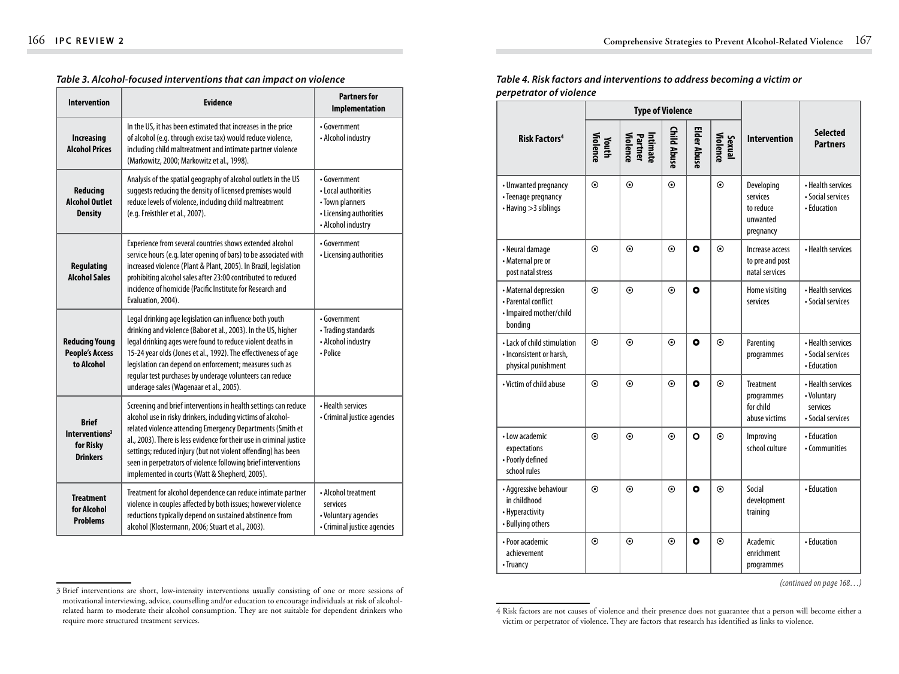| <b>Intervention</b>                                                        | <b>Evidence</b>                                                                                                                                                                                                                                                                                                                                                                                                                                            | <b>Partners for</b><br>Implementation                                                                   |
|----------------------------------------------------------------------------|------------------------------------------------------------------------------------------------------------------------------------------------------------------------------------------------------------------------------------------------------------------------------------------------------------------------------------------------------------------------------------------------------------------------------------------------------------|---------------------------------------------------------------------------------------------------------|
| <b>Increasing</b><br><b>Alcohol Prices</b>                                 | In the US, it has been estimated that increases in the price<br>of alcohol (e.g. through excise tax) would reduce violence,<br>including child maltreatment and intimate partner violence<br>(Markowitz, 2000; Markowitz et al., 1998).                                                                                                                                                                                                                    | • Government<br>• Alcohol industry                                                                      |
| Reducing<br><b>Alcohol Outlet</b><br><b>Density</b>                        | Analysis of the spatial geography of alcohol outlets in the US<br>suggests reducing the density of licensed premises would<br>reduce levels of violence, including child maltreatment<br>(e.g. Freisthler et al., 2007).                                                                                                                                                                                                                                   | • Government<br>• Local authorities<br>• Town planners<br>• Licensing authorities<br>• Alcohol industry |
| <b>Regulating</b><br><b>Alcohol Sales</b>                                  | Experience from several countries shows extended alcohol<br>service hours (e.g. later opening of bars) to be associated with<br>increased violence (Plant & Plant, 2005). In Brazil, legislation<br>prohibiting alcohol sales after 23:00 contributed to reduced<br>incidence of homicide (Pacific Institute for Research and<br>Evaluation, 2004).                                                                                                        | • Government<br>• Licensing authorities                                                                 |
| <b>Reducing Young</b><br><b>People's Access</b><br>to Alcohol              | Legal drinking age legislation can influence both youth<br>drinking and violence (Babor et al., 2003). In the US, higher<br>legal drinking ages were found to reduce violent deaths in<br>15-24 year olds (Jones et al., 1992). The effectiveness of age<br>legislation can depend on enforcement; measures such as<br>regular test purchases by underage volunteers can reduce<br>underage sales (Wagenaar et al., 2005).                                 | • Government<br>• Trading standards<br>• Alcohol industry<br>• Police                                   |
| <b>Brief</b><br>Interventions <sup>3</sup><br>for Risky<br><b>Drinkers</b> | Screening and brief interventions in health settings can reduce<br>alcohol use in risky drinkers, including victims of alcohol-<br>related violence attending Emergency Departments (Smith et<br>al., 2003). There is less evidence for their use in criminal justice<br>settings; reduced injury (but not violent offending) has been<br>seen in perpetrators of violence following brief interventions<br>implemented in courts (Watt & Shepherd, 2005). | • Health services<br>• Criminal justice agencies                                                        |
| <b>Treatment</b><br>for Alcohol<br><b>Problems</b>                         | Treatment for alcohol dependence can reduce intimate partner<br>violence in couples affected by both issues; however violence<br>reductions typically depend on sustained abstinence from<br>alcohol (Klostermann, 2006; Stuart et al., 2003).                                                                                                                                                                                                             | • Alcohol treatment<br>services<br>• Voluntary agencies<br>• Criminal justice agencies                  |

#### *Table 3. Alcohol-focused interventions that can impact on violence*

*Table 4. Risk factors and interventions to address becoming a victim or perpetrator of violence*

|                                                                                    | <b>Type of Violence</b>  |                                 |             |              |                    |                                                              |                                                                   |
|------------------------------------------------------------------------------------|--------------------------|---------------------------------|-------------|--------------|--------------------|--------------------------------------------------------------|-------------------------------------------------------------------|
| <b>Risk Factors<sup>4</sup></b>                                                    | <b>Youth</b><br>Violence | Intimate<br>Partner<br>Violence | Child Abuse | Elder Abuse  | Sexual<br>Violence | <b>Intervention</b>                                          | <b>Selected</b><br><b>Partners</b>                                |
| • Unwanted pregnancy<br>• Teenage pregnancy<br>• Having > 3 siblings               | $\odot$                  | $\odot$                         | $\odot$     |              | $\odot$            | Developing<br>services<br>to reduce<br>unwanted<br>pregnancy | • Health services<br>· Social services<br>• Education             |
| • Neural damage<br>• Maternal pre or<br>post natal stress                          | $\odot$                  | $\odot$                         | $\odot$     | $\mathbf{o}$ | $\odot$            | Increase access<br>to pre and post<br>natal services         | • Health services                                                 |
| • Maternal depression<br>• Parental conflict<br>· Impaired mother/child<br>bonding | $\odot$                  | $\odot$                         | $\odot$     | $\bullet$    |                    | Home visiting<br>services                                    | • Health services<br>• Social services                            |
| • Lack of child stimulation<br>· Inconsistent or harsh,<br>physical punishment     | $\odot$                  | $\odot$                         | $\odot$     | $\mathbf o$  | $\odot$            | Parenting<br>programmes                                      | • Health services<br>· Social services<br>• Education             |
| • Victim of child abuse                                                            | $\odot$                  | $\odot$                         | $\odot$     | O            | $\odot$            | <b>Treatment</b><br>programmes<br>for child<br>abuse victims | • Health services<br>• Voluntary<br>services<br>• Social services |
| • Low academic<br>expectations<br>• Poorly defined<br>school rules                 | $\odot$                  | $\odot$                         | $\odot$     | $\mathbf{o}$ | $\odot$            | Improving<br>school culture                                  | • Education<br>• Communities                                      |
| • Aggressive behaviour<br>in childhood<br>• Hyperactivity<br>• Bullying others     | $\odot$                  | $\odot$                         | $\odot$     | $\bullet$    | $\odot$            | Social<br>development<br>training                            | • Education                                                       |
| • Poor academic<br>achievement<br>• Truancy                                        | $\odot$                  | $\odot$                         | $\odot$     | $\mathbf{o}$ | $\odot$            | Academic<br>enrichment<br>programmes                         | • Education                                                       |

 *(continued on page 168…)*

<sup>3</sup> Brief interventions are short, low-intensity interventions usually consisting of one or more sessions of motivational interviewing, advice, counselling and/or education to encourage individuals at risk of alcoholrelated harm to moderate their alcohol consumption. They are not suitable for dependent drinkers who require more structured treatment services.

<sup>4</sup> Risk factors are not causes of violence and their presence does not guarantee that a person will become either a victim or perpetrator of violence. They are factors that research has identified as links to violence.